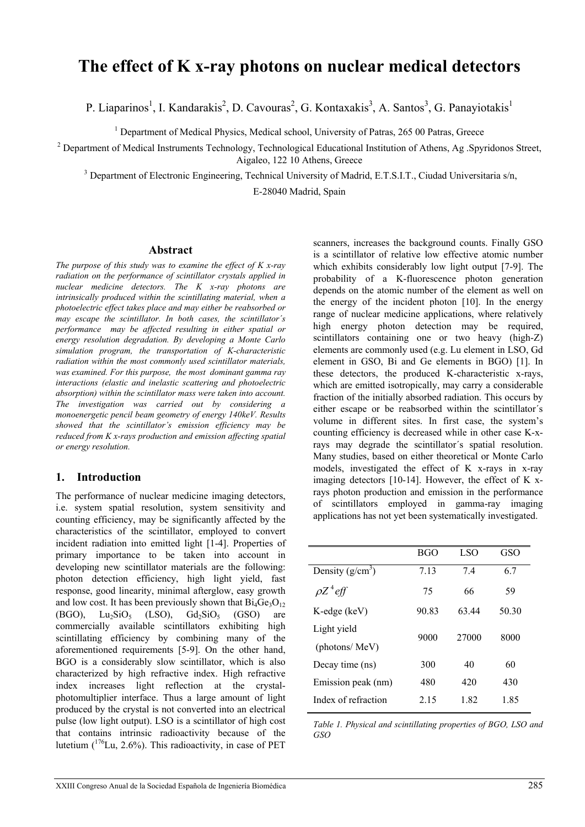# **The effect of K x-ray photons on nuclear medical detectors**

P. Liaparinos<sup>1</sup>, I. Kandarakis<sup>2</sup>, D. Cavouras<sup>2</sup>, G. Kontaxakis<sup>3</sup>, A. Santos<sup>3</sup>, G. Panayiotakis<sup>1</sup>

<sup>1</sup> Department of Medical Physics, Medical school, University of Patras, 265 00 Patras, Greece

<sup>2</sup> Department of Medical Instruments Technology, Technological Educational Institution of Athens, Ag .Spyridonos Street, Aigaleo, 122 10 Athens, Greece

<sup>3</sup> Department of Electronic Engineering, Technical University of Madrid, E.T.S.I.T., Ciudad Universitaria s/n,

E-28040 Madrid, Spain

#### **Abstract**

*The purpose of this study was to examine the effect of K x-ray radiation on the performance of scintillator crystals applied in nuclear medicine detectors. The K x-ray photons are intrinsically produced within the scintillating material, when a photoelectric effect takes place and may either be reabsorbed or may escape the scintillator. In both cases, the scintillator´s performance may be affected resulting in either spatial or energy resolution degradation. By developing a Monte Carlo simulation program, the transportation of K-characteristic radiation within the most commonly used scintillator materials, was examined. For this purpose, the most dominant gamma ray interactions (elastic and inelastic scattering and photoelectric absorption) within the scintillator mass were taken into account. The investigation was carried out by considering a monoenergetic pencil beam geometry of energy 140keV. Results showed that the scintillator's emission efficiency may be reduced from K x-rays production and emission affecting spatial or energy resolution.* 

## **1. Introduction**

The performance of nuclear medicine imaging detectors, i.e. system spatial resolution, system sensitivity and counting efficiency, may be significantly affected by the characteristics of the scintillator, employed to convert incident radiation into emitted light [1-4]. Properties of primary importance to be taken into account in developing new scintillator materials are the following: photon detection efficiency, high light yield, fast response, good linearity, minimal afterglow, easy growth and low cost. It has been previously shown that  $Bi_4Ge_3O_{12}$  $(BGO)$ ,  $Lu<sub>2</sub>SiO<sub>5</sub>$   $(LSO)$ ,  $Gd<sub>2</sub>SiO<sub>5</sub>$   $(GSO)$  are commercially available scintillators exhibiting high scintillating efficiency by combining many of the aforementioned requirements [5-9]. On the other hand, BGO is a considerably slow scintillator, which is also characterized by high refractive index. High refractive index increases light reflection at the crystalphotomultiplier interface. Thus a large amount of light produced by the crystal is not converted into an electrical pulse (low light output). LSO is a scintillator of high cost that contains intrinsic radioactivity because of the lutetium  $\binom{176}{1}$ Lu, 2.6%). This radioactivity, in case of PET

scanners, increases the background counts. Finally GSO is a scintillator of relative low effective atomic number which exhibits considerably low light output [7-9]. The probability of a K-fluorescence photon generation depends on the atomic number of the element as well on the energy of the incident photon [10]. In the energy range of nuclear medicine applications, where relatively high energy photon detection may be required, scintillators containing one or two heavy (high-Z) elements are commonly used (e.g. Lu element in LSO, Gd element in GSO, Bi and Ge elements in BGO) [1]. In these detectors, the produced K-characteristic x-rays, which are emitted isotropically, may carry a considerable fraction of the initially absorbed radiation. This occurs by either escape or be reabsorbed within the scintillator´s volume in different sites. In first case, the system's counting efficiency is decreased while in other case K-xrays may degrade the scintillator´s spatial resolution. Many studies, based on either theoretical or Monte Carlo models, investigated the effect of K x-rays in x-ray imaging detectors [10-14]. However, the effect of K xrays photon production and emission in the performance of scintillators employed in gamma-ray imaging applications has not yet been systematically investigated.

|                               | <b>BGO</b> | LSO   | GSO   |
|-------------------------------|------------|-------|-------|
| Density $(g/cm^3)$            | 7.13       | 74    | 6.7   |
| $\rho Z^4$ eff                | 75         | 66    | 59    |
| K-edge (keV)                  | 90.83      | 63.44 | 50.30 |
| Light yield<br>(photons/ MeV) | 9000       | 27000 | 8000  |
| Decay time (ns)               | 300        | 40    | 60    |
| Emission peak (nm)            | 480        | 420   | 430   |
| Index of refraction           | 2.15       | 182   | 185   |

*Table 1. Physical and scintillating properties of BGO, LSO and GSO*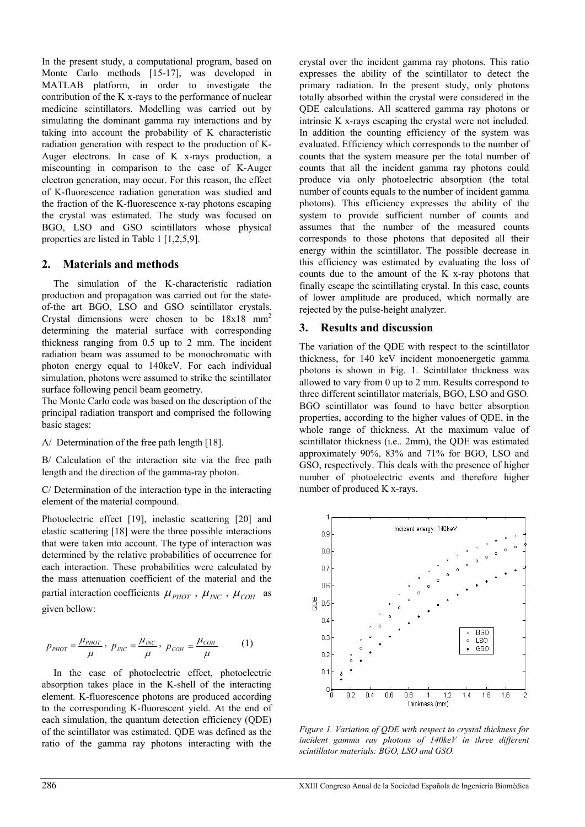In the present study, a computational program, based on Monte Carlo methods [15-17], was developed in MATLAB platform, in order to investigate the contribution of the K x-rays to the performance of nuclear medicine scintillators. Modelling was carried out by simulating the dominant gamma ray interactions and by taking into account the probability of K characteristic radiation generation with respect to the production of K-Auger electrons. In case of K x-rays production, a miscounting in comparison to the case of K-Auger electron generation, may occur. For this reason, the effect of K-fluorescence radiation generation was studied and the fraction of the K-fluorescence x-ray photons escaping the crystal was estimated. The study was focused on BGO, LSO and GSO scintillators whose physical properties are listed in Table 1 [1,2,5,9].

## **2. Materials and methods**

The simulation of the K-characteristic radiation production and propagation was carried out for the stateof-the art BGO, LSO and GSO scintillator crystals. Crystal dimensions were chosen to be  $18x18 \text{ mm}^2$ determining the material surface with corresponding thickness ranging from 0.5 up to 2 mm. The incident radiation beam was assumed to be monochromatic with photon energy equal to 140keV. For each individual simulation, photons were assumed to strike the scintillator surface following pencil beam geometry.

The Monte Carlo code was based on the description of the principal radiation transport and comprised the following basic stages:

A/ Determination of the free path length [18].

B/ Calculation of the interaction site via the free path length and the direction of the gamma-ray photon.

C/ Determination of the interaction type in the interacting element of the material compound.

Photoelectric effect [19], inelastic scattering [20] and elastic scattering [18] were the three possible interactions that were taken into account. The type of interaction was determined by the relative probabilities of occurrence for each interaction. These probabilities were calculated by the mass attenuation coefficient of the material and the partial interaction coefficients  $\mu_{PHOT}$  ,  $\mu_{INC}$  ,  $\mu_{COH}$  as given bellow:

$$
p_{\text{PHOT}} = \frac{\mu_{\text{PHOT}}}{\mu}, \ p_{\text{INC}} = \frac{\mu_{\text{INC}}}{\mu}, \ p_{\text{COH}} = \frac{\mu_{\text{COH}}}{\mu} \tag{1}
$$

In the case of photoelectric effect, photoelectric absorption takes place in the K-shell of the interacting element. K-fluorescence photons are produced according to the corresponding K-fluorescent yield. At the end of each simulation, the quantum detection efficiency (QDE) of the scintillator was estimated. QDE was defined as the ratio of the gamma ray photons interacting with the

crystal over the incident gamma ray photons. This ratio expresses the ability of the scintillator to detect the primary radiation. In the present study, only photons totally absorbed within the crystal were considered in the QDE calculations. All scattered gamma ray photons or intrinsic K x-rays escaping the crystal were not included. In addition the counting efficiency of the system was evaluated. Efficiency which corresponds to the number of counts that the system measure per the total number of counts that all the incident gamma ray photons could produce via only photoelectric absorption (the total number of counts equals to the number of incident gamma photons). This efficiency expresses the ability of the system to provide sufficient number of counts and assumes that the number of the measured counts corresponds to those photons that deposited all their energy within the scintillator. The possible decrease in this efficiency was estimated by evaluating the loss of counts due to the amount of the K x-ray photons that finally escape the scintillating crystal. In this case, counts of lower amplitude are produced, which normally are rejected by the pulse-height analyzer.

## **3. Results and discussion**

The variation of the QDE with respect to the scintillator thickness, for 140 keV incident monoenergetic gamma photons is shown in Fig. 1. Scintillator thickness was allowed to vary from 0 up to 2 mm. Results correspond to three different scintillator materials, BGO, LSO and GSO. BGO scintillator was found to have better absorption properties, according to the higher values of QDE, in the whole range of thickness. At the maximum value of scintillator thickness (i.e.. 2mm), the QDE was estimated approximately 90%, 83% and 71% for BGO, LSO and GSO, respectively. This deals with the presence of higher number of photoelectric events and therefore higher number of produced K x-rays.



*Figure 1. Variation of QDE with respect to crystal thickness for incident gamma ray photons of 140keV in three different scintillator materials: BGO, LSO and GSO.*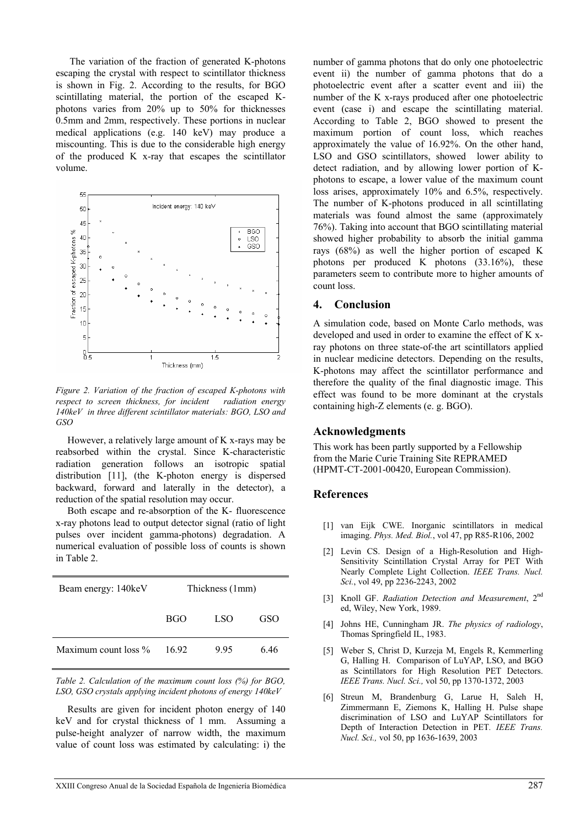The variation of the fraction of generated K-photons escaping the crystal with respect to scintillator thickness is shown in Fig. 2. According to the results, for BGO scintillating material, the portion of the escaped Kphotons varies from 20% up to 50% for thicknesses 0.5mm and 2mm, respectively. These portions in nuclear medical applications (e.g. 140 keV) may produce a miscounting. This is due to the considerable high energy of the produced K x-ray that escapes the scintillator volume.



*Figure 2. Variation of the fraction of escaped K-photons with respect to screen thickness, for incident radiation energy 140keV in three different scintillator materials: BGO, LSO and GSO* 

However, a relatively large amount of K x-rays may be reabsorbed within the crystal. Since K-characteristic radiation generation follows an isotropic spatial distribution [11], (the K-photon energy is dispersed backward, forward and laterally in the detector), a reduction of the spatial resolution may occur.

Both escape and re-absorption of the K- fluorescence x-ray photons lead to output detector signal (ratio of light pulses over incident gamma-photons) degradation. A numerical evaluation of possible loss of counts is shown in Table 2.

| Beam energy: 140keV  | Thickness (1mm) |     |      |
|----------------------|-----------------|-----|------|
|                      | <b>BGO</b>      | LSO | GSO  |
| Maximum count loss % | 16.92           | 995 | 6 46 |

*Table 2. Calculation of the maximum count loss (%) for BGO, LSO, GSO crystals applying incident photons of energy 140keV* 

Results are given for incident photon energy of 140 keV and for crystal thickness of 1 mm. Assuming a pulse-height analyzer of narrow width, the maximum value of count loss was estimated by calculating: i) the

number of gamma photons that do only one photoelectric event ii) the number of gamma photons that do a photoelectric event after a scatter event and iii) the number of the K x-rays produced after one photoelectric event (case i) and escape the scintillating material. According to Table 2, BGO showed to present the maximum portion of count loss, which reaches approximately the value of 16.92%. On the other hand, LSO and GSO scintillators, showed lower ability to detect radiation, and by allowing lower portion of Kphotons to escape, a lower value of the maximum count loss arises, approximately 10% and 6.5%, respectively. The number of K-photons produced in all scintillating materials was found almost the same (approximately 76%). Taking into account that BGO scintillating material showed higher probability to absorb the initial gamma rays (68%) as well the higher portion of escaped K photons per produced K photons (33.16%), these parameters seem to contribute more to higher amounts of count loss.

#### **4. Conclusion**

A simulation code, based on Monte Carlo methods, was developed and used in order to examine the effect of K xray photons on three state-of-the art scintillators applied in nuclear medicine detectors. Depending on the results, K-photons may affect the scintillator performance and therefore the quality of the final diagnostic image. This effect was found to be more dominant at the crystals containing high-Z elements (e. g. BGO).

## **Acknowledgments**

This work has been partly supported by a Fellowship from the Marie Curie Training Site REPRAMED (HPMT-CT-2001-00420, European Commission).

## **References**

- [1] van Eijk CWE. Inorganic scintillators in medical imaging. *Phys. Med. Biol.*, vol 47, pp R85-R106, 2002
- [2] Levin CS. Design of a High-Resolution and High-Sensitivity Scintillation Crystal Array for PET With Nearly Complete Light Collection. *IEEE Trans. Nucl. Sci.*, vol 49, pp 2236-2243, 2002
- [3] Knoll GF. *Radiation Detection and Measurement*, 2nd ed, Wiley, New York, 1989.
- [4] Johns HE, Cunningham JR. *The physics of radiology*, Thomas Springfield IL, 1983.
- [5] Weber S, Christ D, Kurzeja M, Engels R, Kemmerling G, Halling H. Comparison of LuYAP, LSO, and BGO as Scintillators for High Resolution PET Detectors. *IEEE Trans. Nucl. Sci.,* vol 50, pp 1370-1372, 2003
- [6] Streun M, Brandenburg G, Larue H, Saleh H, Zimmermann E, Ziemons K, Halling H. Pulse shape discrimination of LSO and LuYAP Scintillators for Depth of Interaction Detection in PET*. IEEE Trans. Nucl. Sci.,* vol 50, pp 1636-1639, 2003